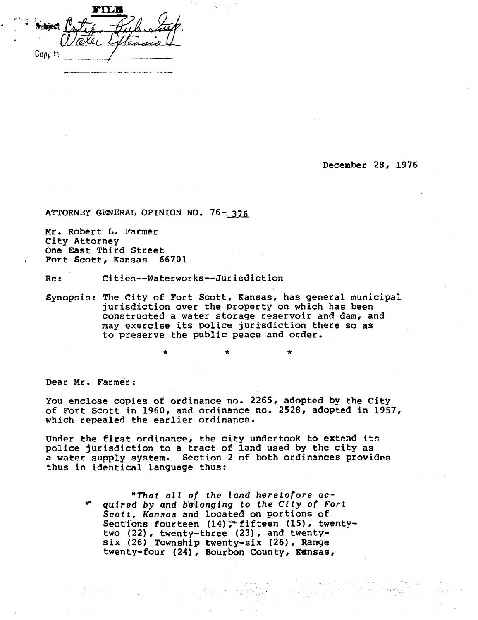FILE hibiect Copy to

**December 28, 1976** 

**ATTORNEY GENERAL OPINION NO. 76-376** 

**Mr. Robert L. Farmer City Attorney One East Third Street Fort Scott, Kansas 66701** 

**Re: Cities--Waterworks--Jurisdiction** 

**Synopsis: The City of Fort Scott, Kansas, has general municipal jurisdiction over the property on which has been constructed a water storage reservoir and dam, and may exercise its police jurisdiction there so as to preserve the public peace and order.** 

\*

**Dear Mr. Farmer:** 

**You enclose copies of ordinance no. 2265, adopted by the City of Fort Scott in 1960, and ordinance no. 2528, adopted in 1957, which repealed the earlier ordinance.** 

**Under the first ordinance, the city undertook to extend its police jurisdiction to a tract of land used by the city as a water supply system. Section 2 of both ordinances provides thus in identical language thus:** 

> **"That all of the land heretofore acquired by and belonging to the City of Fort Scott, Kansas and located on portions of**  Sections fourteen (14)<sup>\*</sup> fifteen (15), twenty**two (22), twenty-three (23), and twentysix (26) Township twenty-six (26), Range twenty-four (24), Bourbon County, Kansas,**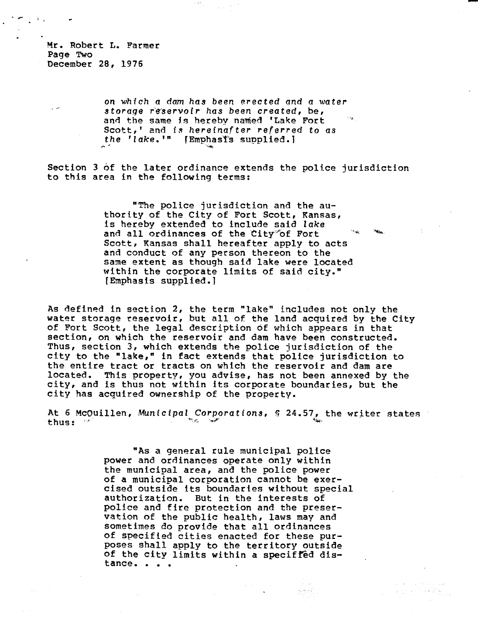Mr. Robert L. Farmer Page Two December 28, 1976

> on which a dam has been erected and a water storage reservoir has been created, be, and the same is hereby named 'Lake Fort Scott,' and is hereinafter referred to as the 'lake.'" [Emphasis supplied.]

Section 3 of the later ordinance extends the police jurisdiction to this area in the following terms:

> "The police jurisdiction and the authority of the City of Fort Scott, Kansas, is hereby extended to include said lake  $\alpha_{\rm sky}$ and all ordinances of the City of Fort Scott, Kansas shall hereafter apply to acts and conduct of any person thereon to the same extent as though said lake were located within the corporate limits of said city." (Emphasis supplied.]

As defined in section 2, the term "lake" includes not only the water storage reservoir, but all of the land acquired by the City of Fort Scott, the legal description of which appears in that section, on which the reservoir and dam have been constructed. Thus, section 3, which extends the police jurisdiction of the city to the "lake," in fact extends that police jurisdiction to the entire tract or tracts on which the reservoir and dam are located. This property, you advise, has not been annexed by the city, and is thus not within its corporate boundaries, but the city has acquired ownership of the property.

At 6 McQuillen, Municipal Corporations, § 24.57, the writer states thus:

> "As a general rule municipal police power and ordinances operate only within the municipal area, and the police power of a municipal corporation cannot be exercised outside its boundaries without special authorization. But in the interests of police and fire protection and the preservation of the public health, laws may and sometimes do provide that all ordinances of specified cities enacted for these purposes shall apply to the territory outside of the city limits within a specified distance. • • •

> > ಂಶಗಳಿ ಸತ್ಯ